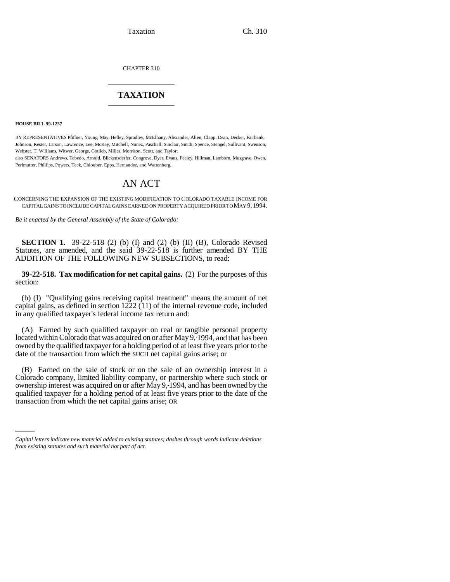CHAPTER 310 \_\_\_\_\_\_\_\_\_\_\_\_\_\_\_

## **TAXATION** \_\_\_\_\_\_\_\_\_\_\_\_\_\_\_

**HOUSE BILL 99-1237** 

BY REPRESENTATIVES Pfiffner, Young, May, Hefley, Spradley, McElhany, Alexander, Allen, Clapp, Dean, Decker, Fairbank, Johnson, Kester, Larson, Lawrence, Lee, McKay, Mitchell, Nunez, Paschall, Sinclair, Smith, Spence, Stengel, Sullivant, Swenson, Webster, T. Williams, Witwer, George, Gotlieb, Miller, Morrison, Scott, and Taylor;

also SENATORS Andrews, Tebedo, Arnold, Blickensderfer, Congrove, Dyer, Evans, Feeley, Hillman, Lamborn, Musgrave, Owen, Perlmutter, Phillips, Powers, Teck, Chlouber, Epps, Hernandez, and Wattenberg.

## AN ACT

CONCERNING THE EXPANSION OF THE EXISTING MODIFICATION TO COLORADO TAXABLE INCOME FOR CAPITAL GAINS TO INCLUDE CAPITAL GAINS EARNED ON PROPERTY ACQUIRED PRIOR TO MAY 9, 1994.

*Be it enacted by the General Assembly of the State of Colorado:*

**SECTION 1.** 39-22-518 (2) (b) (I) and (2) (b) (II) (B), Colorado Revised Statutes, are amended, and the said 39-22-518 is further amended BY THE ADDITION OF THE FOLLOWING NEW SUBSECTIONS, to read:

**39-22-518. Tax modification for net capital gains.** (2) For the purposes of this section:

(b) (I) "Qualifying gains receiving capital treatment" means the amount of net capital gains, as defined in section 1222 (11) of the internal revenue code, included in any qualified taxpayer's federal income tax return and:

(A) Earned by such qualified taxpayer on real or tangible personal property located within Colorado that was acquired on or after May 9, 1994, and that has been owned by the qualified taxpayer for a holding period of at least five years prior to the date of the transaction from which the SUCH net capital gains arise; or

qualified taxpayer for a holding period of at least five years prior to the date of the (B) Earned on the sale of stock or on the sale of an ownership interest in a Colorado company, limited liability company, or partnership where such stock or ownership interest was acquired on or after May 9, 1994, and has been owned by the transaction from which the net capital gains arise; OR

*Capital letters indicate new material added to existing statutes; dashes through words indicate deletions from existing statutes and such material not part of act.*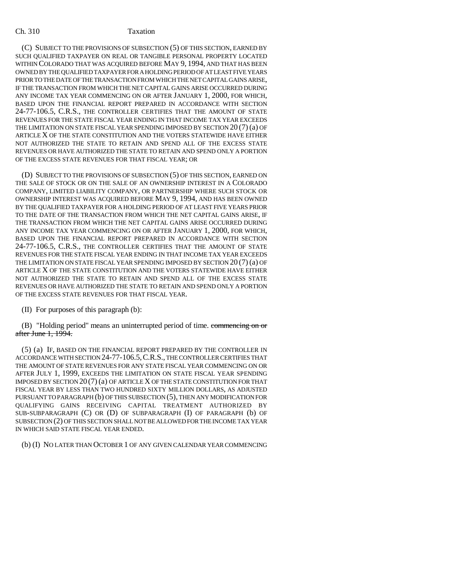## Ch. 310 Taxation

(C) SUBJECT TO THE PROVISIONS OF SUBSECTION (5) OF THIS SECTION, EARNED BY SUCH QUALIFIED TAXPAYER ON REAL OR TANGIBLE PERSONAL PROPERTY LOCATED WITHIN COLORADO THAT WAS ACQUIRED BEFORE MAY 9, 1994, AND THAT HAS BEEN OWNED BY THE QUALIFIED TAXPAYER FOR A HOLDING PERIOD OF AT LEAST FIVE YEARS PRIOR TO THE DATE OF THE TRANSACTION FROM WHICH THE NET CAPITAL GAINS ARISE, IF THE TRANSACTION FROM WHICH THE NET CAPITAL GAINS ARISE OCCURRED DURING ANY INCOME TAX YEAR COMMENCING ON OR AFTER JANUARY 1, 2000, FOR WHICH, BASED UPON THE FINANCIAL REPORT PREPARED IN ACCORDANCE WITH SECTION 24-77-106.5, C.R.S., THE CONTROLLER CERTIFIES THAT THE AMOUNT OF STATE REVENUES FOR THE STATE FISCAL YEAR ENDING IN THAT INCOME TAX YEAR EXCEEDS THE LIMITATION ON STATE FISCAL YEAR SPENDING IMPOSED BY SECTION 20 (7) (a) OF ARTICLE X OF THE STATE CONSTITUTION AND THE VOTERS STATEWIDE HAVE EITHER NOT AUTHORIZED THE STATE TO RETAIN AND SPEND ALL OF THE EXCESS STATE REVENUES OR HAVE AUTHORIZED THE STATE TO RETAIN AND SPEND ONLY A PORTION OF THE EXCESS STATE REVENUES FOR THAT FISCAL YEAR; OR

(D) SUBJECT TO THE PROVISIONS OF SUBSECTION (5) OF THIS SECTION, EARNED ON THE SALE OF STOCK OR ON THE SALE OF AN OWNERSHIP INTEREST IN A COLORADO COMPANY, LIMITED LIABILITY COMPANY, OR PARTNERSHIP WHERE SUCH STOCK OR OWNERSHIP INTEREST WAS ACQUIRED BEFORE MAY 9, 1994, AND HAS BEEN OWNED BY THE QUALIFIED TAXPAYER FOR A HOLDING PERIOD OF AT LEAST FIVE YEARS PRIOR TO THE DATE OF THE TRANSACTION FROM WHICH THE NET CAPITAL GAINS ARISE, IF THE TRANSACTION FROM WHICH THE NET CAPITAL GAINS ARISE OCCURRED DURING ANY INCOME TAX YEAR COMMENCING ON OR AFTER JANUARY 1, 2000, FOR WHICH, BASED UPON THE FINANCIAL REPORT PREPARED IN ACCORDANCE WITH SECTION 24-77-106.5, C.R.S., THE CONTROLLER CERTIFIES THAT THE AMOUNT OF STATE REVENUES FOR THE STATE FISCAL YEAR ENDING IN THAT INCOME TAX YEAR EXCEEDS THE LIMITATION ON STATE FISCAL YEAR SPENDING IMPOSED BY SECTION 20 (7) (a) OF ARTICLE X OF THE STATE CONSTITUTION AND THE VOTERS STATEWIDE HAVE EITHER NOT AUTHORIZED THE STATE TO RETAIN AND SPEND ALL OF THE EXCESS STATE REVENUES OR HAVE AUTHORIZED THE STATE TO RETAIN AND SPEND ONLY A PORTION OF THE EXCESS STATE REVENUES FOR THAT FISCAL YEAR.

(II) For purposes of this paragraph (b):

(B) "Holding period" means an uninterrupted period of time. commencing on or after June 1, 1994.

(5) (a) IF, BASED ON THE FINANCIAL REPORT PREPARED BY THE CONTROLLER IN ACCORDANCE WITH SECTION 24-77-106.5,C.R.S., THE CONTROLLER CERTIFIES THAT THE AMOUNT OF STATE REVENUES FOR ANY STATE FISCAL YEAR COMMENCING ON OR AFTER JULY 1, 1999, EXCEEDS THE LIMITATION ON STATE FISCAL YEAR SPENDING IMPOSED BY SECTION 20 (7) (a) OF ARTICLE X OF THE STATE CONSTITUTION FOR THAT FISCAL YEAR BY LESS THAN TWO HUNDRED SIXTY MILLION DOLLARS, AS ADJUSTED PURSUANT TO PARAGRAPH (b) OF THIS SUBSECTION (5), THEN ANY MODIFICATION FOR QUALIFYING GAINS RECEIVING CAPITAL TREATMENT AUTHORIZED BY SUB-SUBPARAGRAPH (C) OR (D) OF SUBPARAGRAPH (I) OF PARAGRAPH (b) OF SUBSECTION (2) OF THIS SECTION SHALL NOT BE ALLOWED FOR THE INCOME TAX YEAR IN WHICH SAID STATE FISCAL YEAR ENDED.

(b) (I) NO LATER THAN OCTOBER 1 OF ANY GIVEN CALENDAR YEAR COMMENCING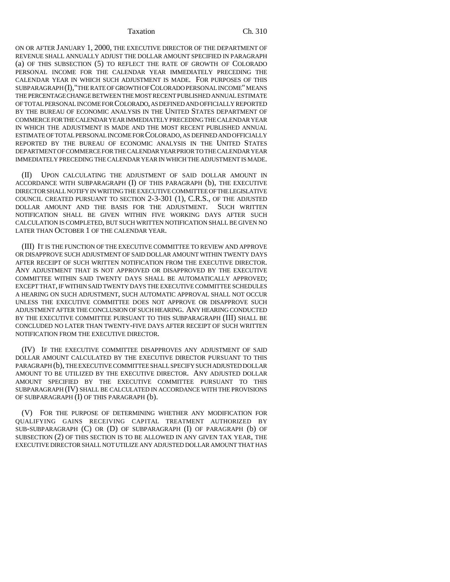Taxation Ch. 310

ON OR AFTER JANUARY 1, 2000, THE EXECUTIVE DIRECTOR OF THE DEPARTMENT OF REVENUE SHALL ANNUALLY ADJUST THE DOLLAR AMOUNT SPECIFIED IN PARAGRAPH (a) OF THIS SUBSECTION (5) TO REFLECT THE RATE OF GROWTH OF COLORADO PERSONAL INCOME FOR THE CALENDAR YEAR IMMEDIATELY PRECEDING THE CALENDAR YEAR IN WHICH SUCH ADJUSTMENT IS MADE. FOR PURPOSES OF THIS SUBPARAGRAPH (I),"THE RATE OF GROWTH OF COLORADO PERSONAL INCOME" MEANS THE PERCENTAGE CHANGE BETWEEN THE MOST RECENT PUBLISHED ANNUAL ESTIMATE OF TOTAL PERSONAL INCOME FOR COLORADO, AS DEFINED AND OFFICIALLY REPORTED BY THE BUREAU OF ECONOMIC ANALYSIS IN THE UNITED STATES DEPARTMENT OF COMMERCE FOR THE CALENDAR YEAR IMMEDIATELY PRECEDING THE CALENDAR YEAR IN WHICH THE ADJUSTMENT IS MADE AND THE MOST RECENT PUBLISHED ANNUAL ESTIMATE OF TOTAL PERSONAL INCOME FOR COLORADO, AS DEFINED AND OFFICIALLY REPORTED BY THE BUREAU OF ECONOMIC ANALYSIS IN THE UNITED STATES DEPARTMENT OF COMMERCE FOR THE CALENDAR YEAR PRIOR TO THE CALENDAR YEAR IMMEDIATELY PRECEDING THE CALENDAR YEAR IN WHICH THE ADJUSTMENT IS MADE.

(II) UPON CALCULATING THE ADJUSTMENT OF SAID DOLLAR AMOUNT IN ACCORDANCE WITH SUBPARAGRAPH (I) OF THIS PARAGRAPH (b), THE EXECUTIVE DIRECTOR SHALL NOTIFY IN WRITING THE EXECUTIVE COMMITTEE OF THE LEGISLATIVE COUNCIL CREATED PURSUANT TO SECTION 2-3-301 (1), C.R.S., OF THE ADJUSTED DOLLAR AMOUNT AND THE BASIS FOR THE ADJUSTMENT. SUCH WRITTEN NOTIFICATION SHALL BE GIVEN WITHIN FIVE WORKING DAYS AFTER SUCH CALCULATION IS COMPLETED, BUT SUCH WRITTEN NOTIFICATION SHALL BE GIVEN NO LATER THAN OCTOBER 1 OF THE CALENDAR YEAR.

(III) IT IS THE FUNCTION OF THE EXECUTIVE COMMITTEE TO REVIEW AND APPROVE OR DISAPPROVE SUCH ADJUSTMENT OF SAID DOLLAR AMOUNT WITHIN TWENTY DAYS AFTER RECEIPT OF SUCH WRITTEN NOTIFICATION FROM THE EXECUTIVE DIRECTOR. ANY ADJUSTMENT THAT IS NOT APPROVED OR DISAPPROVED BY THE EXECUTIVE COMMITTEE WITHIN SAID TWENTY DAYS SHALL BE AUTOMATICALLY APPROVED; EXCEPT THAT, IF WITHIN SAID TWENTY DAYS THE EXECUTIVE COMMITTEE SCHEDULES A HEARING ON SUCH ADJUSTMENT, SUCH AUTOMATIC APPROVAL SHALL NOT OCCUR UNLESS THE EXECUTIVE COMMITTEE DOES NOT APPROVE OR DISAPPROVE SUCH ADJUSTMENT AFTER THE CONCLUSION OF SUCH HEARING. ANY HEARING CONDUCTED BY THE EXECUTIVE COMMITTEE PURSUANT TO THIS SUBPARAGRAPH (III) SHALL BE CONCLUDED NO LATER THAN TWENTY-FIVE DAYS AFTER RECEIPT OF SUCH WRITTEN NOTIFICATION FROM THE EXECUTIVE DIRECTOR.

(IV) IF THE EXECUTIVE COMMITTEE DISAPPROVES ANY ADJUSTMENT OF SAID DOLLAR AMOUNT CALCULATED BY THE EXECUTIVE DIRECTOR PURSUANT TO THIS PARAGRAPH (b), THE EXECUTIVE COMMITTEE SHALL SPECIFY SUCH ADJUSTED DOLLAR AMOUNT TO BE UTILIZED BY THE EXECUTIVE DIRECTOR. ANY ADJUSTED DOLLAR AMOUNT SPECIFIED BY THE EXECUTIVE COMMITTEE PURSUANT TO THIS SUBPARAGRAPH (IV) SHALL BE CALCULATED IN ACCORDANCE WITH THE PROVISIONS OF SUBPARAGRAPH (I) OF THIS PARAGRAPH (b).

(V) FOR THE PURPOSE OF DETERMINING WHETHER ANY MODIFICATION FOR QUALIFYING GAINS RECEIVING CAPITAL TREATMENT AUTHORIZED BY SUB-SUBPARAGRAPH (C) OR (D) OF SUBPARAGRAPH (I) OF PARAGRAPH (b) OF SUBSECTION (2) OF THIS SECTION IS TO BE ALLOWED IN ANY GIVEN TAX YEAR, THE EXECUTIVE DIRECTOR SHALL NOT UTILIZE ANY ADJUSTED DOLLAR AMOUNT THAT HAS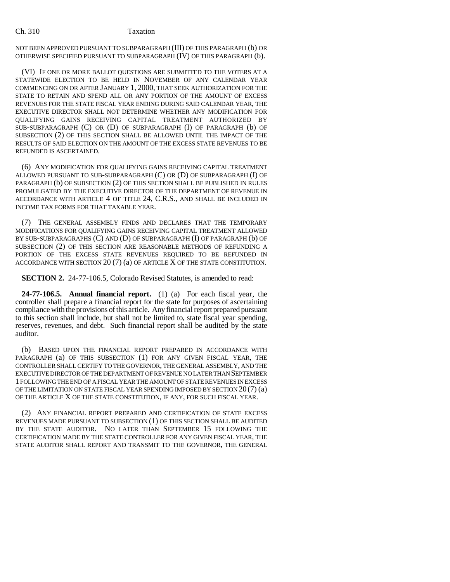## Ch. 310 Taxation

NOT BEEN APPROVED PURSUANT TO SUBPARAGRAPH (III) OF THIS PARAGRAPH (b) OR OTHERWISE SPECIFIED PURSUANT TO SUBPARAGRAPH (IV) OF THIS PARAGRAPH (b).

(VI) IF ONE OR MORE BALLOT QUESTIONS ARE SUBMITTED TO THE VOTERS AT A STATEWIDE ELECTION TO BE HELD IN NOVEMBER OF ANY CALENDAR YEAR COMMENCING ON OR AFTER JANUARY 1, 2000, THAT SEEK AUTHORIZATION FOR THE STATE TO RETAIN AND SPEND ALL OR ANY PORTION OF THE AMOUNT OF EXCESS REVENUES FOR THE STATE FISCAL YEAR ENDING DURING SAID CALENDAR YEAR, THE EXECUTIVE DIRECTOR SHALL NOT DETERMINE WHETHER ANY MODIFICATION FOR QUALIFYING GAINS RECEIVING CAPITAL TREATMENT AUTHORIZED BY SUB-SUBPARAGRAPH (C) OR (D) OF SUBPARAGRAPH (I) OF PARAGRAPH (b) OF SUBSECTION (2) OF THIS SECTION SHALL BE ALLOWED UNTIL THE IMPACT OF THE RESULTS OF SAID ELECTION ON THE AMOUNT OF THE EXCESS STATE REVENUES TO BE REFUNDED IS ASCERTAINED.

(6) ANY MODIFICATION FOR QUALIFYING GAINS RECEIVING CAPITAL TREATMENT ALLOWED PURSUANT TO SUB-SUBPARAGRAPH (C) OR (D) OF SUBPARAGRAPH (I) OF PARAGRAPH (b) OF SUBSECTION (2) OF THIS SECTION SHALL BE PUBLISHED IN RULES PROMULGATED BY THE EXECUTIVE DIRECTOR OF THE DEPARTMENT OF REVENUE IN ACCORDANCE WITH ARTICLE 4 OF TITLE 24, C.R.S., AND SHALL BE INCLUDED IN INCOME TAX FORMS FOR THAT TAXABLE YEAR.

(7) THE GENERAL ASSEMBLY FINDS AND DECLARES THAT THE TEMPORARY MODIFICATIONS FOR QUALIFYING GAINS RECEIVING CAPITAL TREATMENT ALLOWED BY SUB-SUBPARAGRAPHS (C) AND (D) OF SUBPARAGRAPH (I) OF PARAGRAPH (b) OF SUBSECTION (2) OF THIS SECTION ARE REASONABLE METHODS OF REFUNDING A PORTION OF THE EXCESS STATE REVENUES REQUIRED TO BE REFUNDED IN ACCORDANCE WITH SECTION 20 (7) (a) OF ARTICLE X OF THE STATE CONSTITUTION.

**SECTION 2.** 24-77-106.5, Colorado Revised Statutes, is amended to read:

**24-77-106.5. Annual financial report.** (1) (a) For each fiscal year, the controller shall prepare a financial report for the state for purposes of ascertaining compliance with the provisions of this article. Any financial report prepared pursuant to this section shall include, but shall not be limited to, state fiscal year spending, reserves, revenues, and debt. Such financial report shall be audited by the state auditor.

(b) BASED UPON THE FINANCIAL REPORT PREPARED IN ACCORDANCE WITH PARAGRAPH (a) OF THIS SUBSECTION (1) FOR ANY GIVEN FISCAL YEAR, THE CONTROLLER SHALL CERTIFY TO THE GOVERNOR, THE GENERAL ASSEMBLY, AND THE EXECUTIVE DIRECTOR OF THE DEPARTMENT OF REVENUE NO LATER THAN SEPTEMBER 1 FOLLOWING THE END OF A FISCAL YEAR THE AMOUNT OF STATE REVENUES IN EXCESS OF THE LIMITATION ON STATE FISCAL YEAR SPENDING IMPOSED BY SECTION 20 (7) (a) OF THE ARTICLE X OF THE STATE CONSTITUTION, IF ANY, FOR SUCH FISCAL YEAR.

(2) ANY FINANCIAL REPORT PREPARED AND CERTIFICATION OF STATE EXCESS REVENUES MADE PURSUANT TO SUBSECTION (1) OF THIS SECTION SHALL BE AUDITED BY THE STATE AUDITOR. NO LATER THAN SEPTEMBER 15 FOLLOWING THE CERTIFICATION MADE BY THE STATE CONTROLLER FOR ANY GIVEN FISCAL YEAR, THE STATE AUDITOR SHALL REPORT AND TRANSMIT TO THE GOVERNOR, THE GENERAL